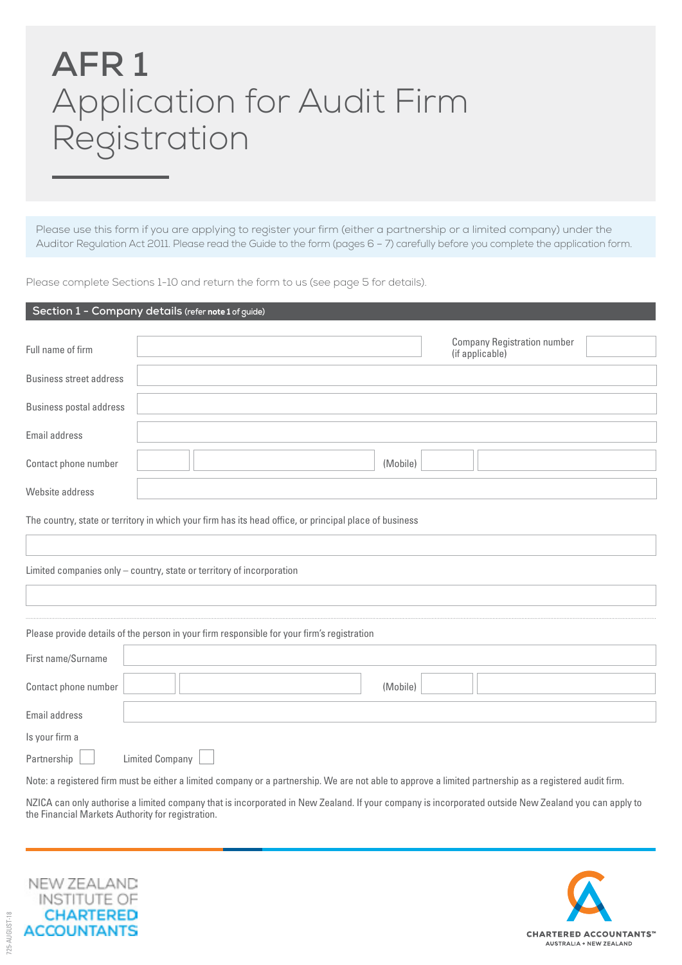# **AFR 1** Application for Audit Firm Registration

Please use this form if you are applying to register your firm (either a partnership or a limited company) under the Auditor Regulation Act 2011. Please read the Guide to the form (pages 6 – 7) carefully before you complete the application form.

Please complete Sections 1-10 and return the form to us (see page 5 for details).

|                                | Section 1 - Company details (refer note 1 of guide)                                                    |
|--------------------------------|--------------------------------------------------------------------------------------------------------|
| Full name of firm              | <b>Company Registration number</b><br>(if applicable)                                                  |
| <b>Business street address</b> |                                                                                                        |
| <b>Business postal address</b> |                                                                                                        |
| Email address                  |                                                                                                        |
| Contact phone number           | (Mobile)                                                                                               |
| Website address                |                                                                                                        |
|                                | The country, state or territory in which your firm has its head office, or principal place of business |
|                                |                                                                                                        |
|                                | Limited companies only - country, state or territory of incorporation                                  |
|                                |                                                                                                        |
|                                | Please provide details of the person in your firm responsible for your firm's registration             |
| First name/Surname             |                                                                                                        |
| Contact phone number           | (Mobile)                                                                                               |
| Email address                  |                                                                                                        |

Partnership | Limited Company

Is your firm a

Note: a registered firm must be either a limited company or a partnership. We are not able to approve a limited partnership as a registered audit firm.

NZICA can only authorise a limited company that is incorporated in New Zealand. If your company is incorporated outside New Zealand you can apply to the Financial Markets Authority for registration.



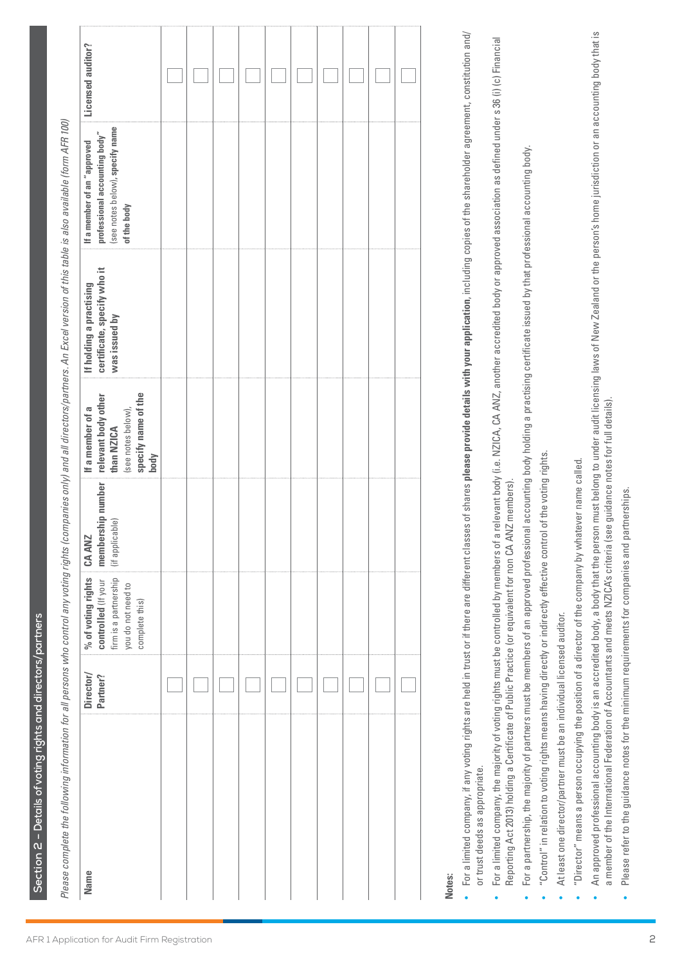Section 2 - Details of voting rights and directors/partners **Section 2 – Details of voting rights and directors/partners**

| į |                                         |
|---|-----------------------------------------|
|   |                                         |
|   |                                         |
|   | ٤                                       |
|   | Ş                                       |
|   | i                                       |
|   | Ė<br>ţ<br>١<br>7<br>j                   |
| I | Ĩ,<br>Ï                                 |
|   | ă                                       |
|   | š<br>j                                  |
|   | q<br>¢                                  |
|   | 1<br>¢                                  |
|   | ŕ<br>5<br>ŕ<br>J                        |
|   | his                                     |
|   |                                         |
|   | i<br>١                                  |
|   | ś<br>ì<br>¢<br>č,                       |
|   | ì<br>I                                  |
|   | ξŅ                                      |
|   | ja<br>į<br>١<br>Ş                       |
| l | ı<br>Í                                  |
|   | .<br>द                                  |
|   | ć                                       |
|   | q<br>ś<br><sup>2</sup>                  |
|   | ţ<br>ă<br>į,                            |
|   | ś<br>١<br>č                             |
|   | ĉ                                       |
|   | ξJ<br>١                                 |
|   | į<br>ă                                  |
|   | ನ                                       |
|   | ם נ                                     |
|   | ì<br>ť<br>2<br>$\overline{\phantom{a}}$ |
|   | ìη                                      |
|   | ξ,<br>١                                 |
|   | nies<br>١                               |
|   |                                         |
|   | pallog                                  |
|   | ¢                                       |
|   | č<br>ć                                  |
|   | ł<br>$\overline{5}$                     |
|   | pu                                      |
|   | ווזף                                    |
|   | ì                                       |
|   | ċ<br>аn                                 |
|   | Ń                                       |
|   | i                                       |
|   | I<br>١<br>¢                             |
|   | ¢                                       |
|   | I                                       |
|   | j<br>ĉ<br>١                             |
|   | į<br>١<br>i<br>ì<br>¢                   |
|   | S<br>١                                  |
|   | ă<br>₹<br>1                             |
|   | ÌÖl<br>¢                                |
|   | i<br>ġ                                  |
|   | math                                    |
|   | i<br>5<br>I                             |
|   | ntr                                     |
|   | pa<br>١                                 |
|   | Ξ<br>5<br>∍                             |
|   | ill.<br>١<br>5                          |
|   | ł<br>$\overline{a}$                     |
|   | ٣É<br>ś                                 |
|   | q<br>د                                  |
|   | ompleti                                 |
|   | 5<br>ĉ                                  |
|   | ςe,                                     |
|   | leas                                    |
|   | p                                       |

| Director/<br>Partner? | % of voting rights $\parallel$ CA ANZ<br>controlled (If your  | membership number | relevant body other<br>If a member of a                         | certificate, specify who it<br>If holding a practising | professional accounting body"<br>If a member of an "approved | Licensed auditor? |
|-----------------------|---------------------------------------------------------------|-------------------|-----------------------------------------------------------------|--------------------------------------------------------|--------------------------------------------------------------|-------------------|
|                       | firm is a partnership<br>you do not need to<br>complete this) | (if applicable)   | specify name of the<br>(see notes below),<br>than NZICA<br>body | was issued by                                          | (see notes below), specify name<br>of the body               |                   |
|                       |                                                               |                   |                                                                 |                                                        |                                                              |                   |
|                       |                                                               |                   |                                                                 |                                                        |                                                              |                   |
|                       |                                                               |                   |                                                                 |                                                        |                                                              |                   |
|                       |                                                               |                   |                                                                 |                                                        |                                                              |                   |
|                       |                                                               |                   |                                                                 |                                                        |                                                              |                   |
|                       |                                                               |                   |                                                                 |                                                        |                                                              |                   |
|                       |                                                               |                   |                                                                 |                                                        |                                                              |                   |
|                       |                                                               |                   |                                                                 |                                                        |                                                              |                   |
|                       |                                                               |                   |                                                                 |                                                        |                                                              |                   |
|                       |                                                               |                   |                                                                 |                                                        |                                                              |                   |
|                       |                                                               |                   |                                                                 |                                                        |                                                              |                   |
|                       |                                                               |                   |                                                                 |                                                        |                                                              |                   |
|                       |                                                               |                   |                                                                 |                                                        |                                                              |                   |

# **Notes:**

- For a limited company, if any voting rights are held in trust or if there are different classes of shares please provide details with your application, including copies of the shareholder agreement, constitution and/ For a limited company, if any voting rights are held in trust or if there are different classes of shares **please provide details with your application**, including copies of the shareholder agreement, constitution and/ or trust deeds as appropriate. or trust deeds as appropriate.
- $\bullet$  For a limited company, the majority of voting rights must be controlled by members of a relevant body (i.e. NZICA, CA ANZ, another accredited body or approved association as defined under s 36 (i) (c) Financial For a limited company, the majority of voting rights must be controlled by members of a relevant body (i.e. NZICA, CA ANZ, another accredited body or approved association as defined under s 36 (i) (c) Financial Reporting Act 2013) holding a Certificate of Public Practice (or equivalent for non CA ANZ members). Reporting Act 2013) holding a Certificate of Public Practice (or equivalent for non CA ANZ members). •
- For a partnership, the majority of partners must be members of an approved professional accounting body holding a practising certificate issued by that professional accounting body.  $\bullet$  For a partnership, the majority of partners must be members of an approved professional accounting body holding a practising certificate issued by that professional accounting body. •
- "Control" in relation to voting rights means having directly or indirectly effective control of the voting rights. "Control" in relation to voting rights means having directly or indirectly effective control of the voting rights.
- At least one director/partner must be an individual licensed auditor. At least one director/partner must be an individual licensed auditor. •

•

- "Director" means a person occupying the position of a director of the company by whatever name called. "Director" means a person occupying the position of a director of the company by whatever name called. •
- An approved professional accounting body is an accredited body, a body that the person must belong to under audit licensing laws of New Zealand or the person's home jurisdiction or an accounting body that is An approved professional accounting body is an accredited body, a body that the person must belong to under audit licensing laws of New Zealand or the person's home jurisdiction or an accounting body that is a member of the International Federation of Accountants and meets NZICA's criteria (see guidance notes for full details). a member of the International Federation of Accountants and meets NZICA's criteria (see guidance notes for full details). •
- Please refer to the guidance notes for the minimum requirements for companies and partnerships. Please refer to the guidance notes for the minimum requirements for companies and partnerships.•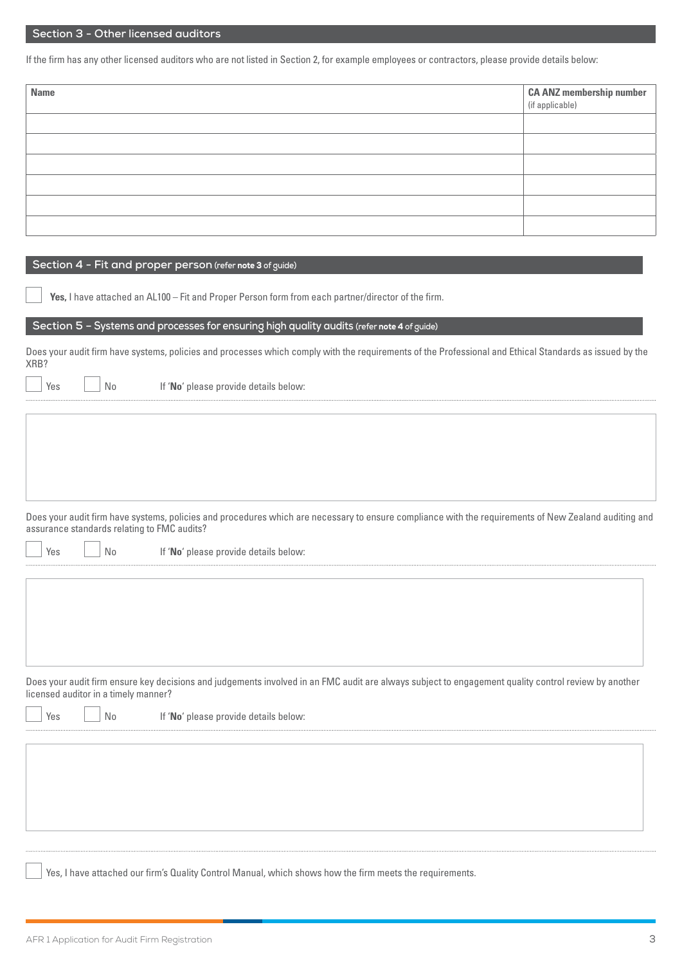## **Section 3 - Other licensed auditors**

If the firm has any other licensed auditors who are not listed in Section 2, for example employees or contractors, please provide details below:

| <b>Name</b> | <b>CA ANZ membership number</b><br>(if applicable) |
|-------------|----------------------------------------------------|
|             |                                                    |
|             |                                                    |
|             |                                                    |
|             |                                                    |
|             |                                                    |
|             |                                                    |

### **Section 4 - Fit and proper person (refer** note 3 **of guide)**

**Yes,** I have attached an AL100 – Fit and Proper Person form from each partner/director of the firm.

### **Section 5 – Systems and processes for ensuring high quality audits (refer** note 4 **of guide)**

Does your audit firm have systems, policies and processes which comply with the requirements of the Professional and Ethical Standards as issued by the XRB?

Yes **No interest in the If 'No'** please provide details below:

Does your audit firm have systems, policies and procedures which are necessary to ensure compliance with the requirements of New Zealand auditing and assurance standards relating to FMC audits?

| n |
|---|
|   |

 $\log$   $\log$  No If **'No**' please provide details below:

Does your audit firm ensure key decisions and judgements involved in an FMC audit are always subject to engagement quality control review by another licensed auditor in a timely manner?

Yes | | No If 'No' please provide details below:

Yes, I have attached our firm's Quality Control Manual, which shows how the firm meets the requirements.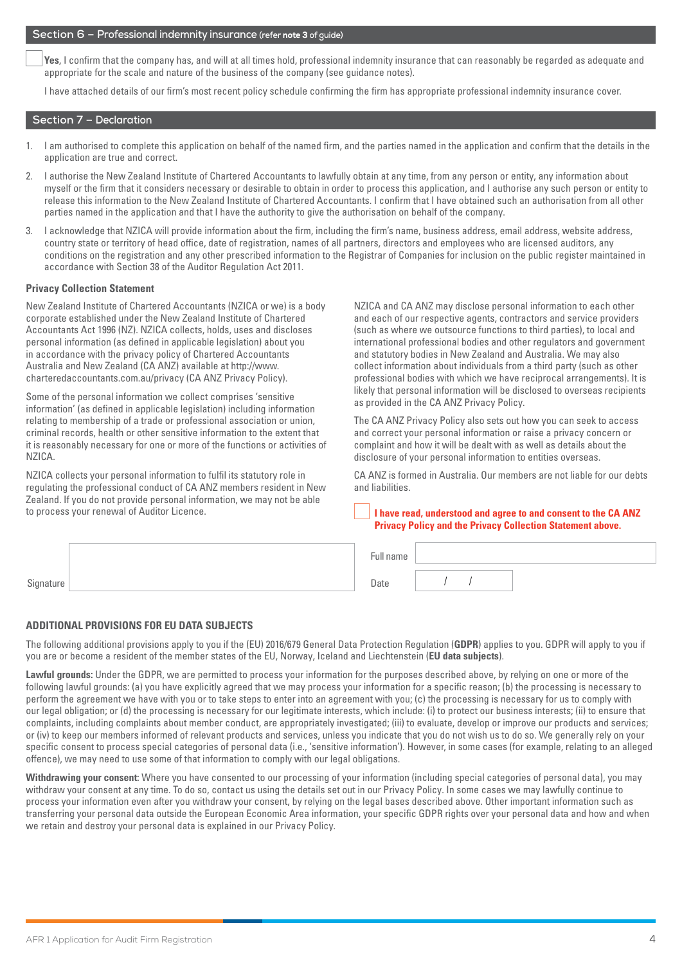### **Section 6 – Professional indemnity insurance (refer** note 3 **of guide)**

**Yes**, I confirm that the company has, and will at all times hold, professional indemnity insurance that can reasonably be regarded as adequate and appropriate for the scale and nature of the business of the company (see guidance notes).

I have attached details of our firm's most recent policy schedule confirming the firm has appropriate professional indemnity insurance cover.

## **Section 7 – Declaration**

- 1. I am authorised to complete this application on behalf of the named firm, and the parties named in the application and confirm that the details in the application are true and correct.
- 2. I authorise the New Zealand Institute of Chartered Accountants to lawfully obtain at any time, from any person or entity, any information about myself or the firm that it considers necessary or desirable to obtain in order to process this application, and I authorise any such person or entity to release this information to the New Zealand Institute of Chartered Accountants. I confirm that I have obtained such an authorisation from all other parties named in the application and that I have the authority to give the authorisation on behalf of the company.
- 3. I acknowledge that NZICA will provide information about the firm, including the firm's name, business address, email address, website address, country state or territory of head office, date of registration, names of all partners, directors and employees who are licensed auditors, any conditions on the registration and any other prescribed information to the Registrar of Companies for inclusion on the public register maintained in accordance with Section 38 of the Auditor Regulation Act 2011.

### **Privacy Collection Statement**

New Zealand Institute of Chartered Accountants (NZICA or we) is a body corporate established under the New Zealand Institute of Chartered Accountants Act 1996 (NZ). NZICA collects, holds, uses and discloses personal information (as defined in applicable legislation) about you in accordance with the privacy policy of Chartered Accountants Australia and New Zealand (CA ANZ) available at http://www. charteredaccountants.com.au/privacy (CA ANZ Privacy Policy).

Some of the personal information we collect comprises 'sensitive information' (as defined in applicable legislation) including information relating to membership of a trade or professional association or union, criminal records, health or other sensitive information to the extent that it is reasonably necessary for one or more of the functions or activities of NZICA.

NZICA collects your personal information to fulfil its statutory role in regulating the professional conduct of CA ANZ members resident in New Zealand. If you do not provide personal information, we may not be able to process your renewal of Auditor Licence.

NZICA and CA ANZ may disclose personal information to each other and each of our respective agents, contractors and service providers (such as where we outsource functions to third parties), to local and international professional bodies and other regulators and government and statutory bodies in New Zealand and Australia. We may also collect information about individuals from a third party (such as other professional bodies with which we have reciprocal arrangements). It is likely that personal information will be disclosed to overseas recipients as provided in the CA ANZ Privacy Policy.

The CA ANZ Privacy Policy also sets out how you can seek to access and correct your personal information or raise a privacy concern or complaint and how it will be dealt with as well as details about the disclosure of your personal information to entities overseas.

CA ANZ is formed in Australia. Our members are not liable for our debts and liabilities.

### **I have read, understood and agree to and consent to the CA ANZ Privacy Policy and the Privacy Collection Statement above.**

|           | $\overline{\phantom{a}}$<br>ull name |  |  |
|-----------|--------------------------------------|--|--|
| Signature | Date                                 |  |  |

### **ADDITIONAL PROVISIONS FOR EU DATA SUBJECTS**

The following additional provisions apply to you if the (EU) 2016/679 General Data Protection Regulation (**GDPR**) applies to you. GDPR will apply to you if you are or become a resident of the member states of the EU, Norway, Iceland and Liechtenstein (**EU data subjects**).

**Lawful grounds:** Under the GDPR, we are permitted to process your information for the purposes described above, by relying on one or more of the following lawful grounds: (a) you have explicitly agreed that we may process your information for a specific reason; (b) the processing is necessary to perform the agreement we have with you or to take steps to enter into an agreement with you; (c) the processing is necessary for us to comply with our legal obligation; or (d) the processing is necessary for our legitimate interests, which include: (i) to protect our business interests; (ii) to ensure that complaints, including complaints about member conduct, are appropriately investigated; (iii) to evaluate, develop or improve our products and services; or (iv) to keep our members informed of relevant products and services, unless you indicate that you do not wish us to do so. We generally rely on your specific consent to process special categories of personal data (i.e., 'sensitive information'). However, in some cases (for example, relating to an alleged offence), we may need to use some of that information to comply with our legal obligations.

**Withdrawing your consent:** Where you have consented to our processing of your information (including special categories of personal data), you may withdraw your consent at any time. To do so, contact us using the details set out in our Privacy Policy. In some cases we may lawfully continue to process your information even after you withdraw your consent, by relying on the legal bases described above. Other important information such as transferring your personal data outside the European Economic Area information, your specific GDPR rights over your personal data and how and when we retain and destroy your personal data is explained in our Privacy Policy.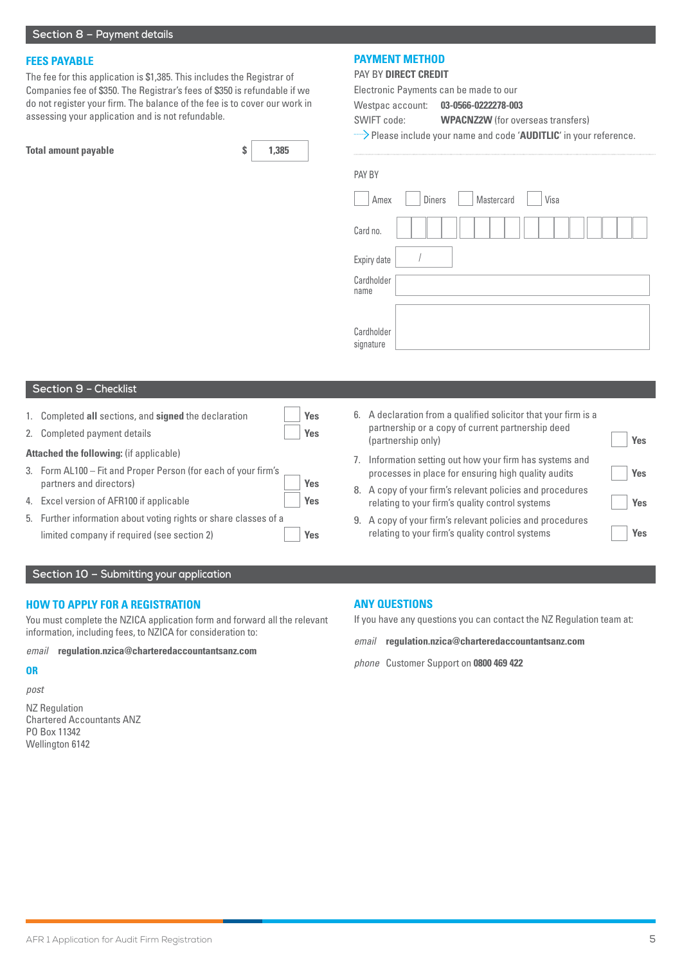### **FEES PAYABLE**

The fee for this application is \$1,385. This includes the Registrar of Companies fee of \$350. The Registrar's fees of \$350 is refundable if we do not register your firm. The balance of the fee is to cover our work in assessing your application and is not refundable.

| <b>Total amount payable</b> | 1,385 |
|-----------------------------|-------|
|                             |       |

## **PAYMENT METHOD**

PAY BY **DIRECT CREDIT**

Electronic Payments can be made to our

Westpac account: **03-0566-0222278-003** 

SWIFT code: **WPACNZ2W** (for overseas transfers)

Please include your name and code '**AUDITLIC**' in your reference.

| PAY BY             |               |            |      |  |
|--------------------|---------------|------------|------|--|
| Amex               | <b>Diners</b> | Mastercard | Visa |  |
| Card no.           |               |            |      |  |
| Expiry date        |               |            |      |  |
| Cardholder<br>name |               |            |      |  |
|                    |               |            |      |  |
| Cardholder         |               |            |      |  |

signature

## **Section 9 – Checklist**

- 1. Completed **all** sections, and **signed** the declaration **Yes**
- 2. Completed payment details **Yes**

### **Attached the following:** (if applicable)

- 3. Form AL100 Fit and Proper Person (for each of your firm's partners and directors) **Yes**
- 4. Excel version of AFR100 if applicable **Yes**
- 5. Further information about voting rights or share classes of a limited company if required (see section 2) **Yes**
- 6. A declaration from a qualified solicitor that your firm is a partnership or a copy of current partnership deed (partnership only) **Yes**
- 7. Information setting out how your firm has systems and processes in place for ensuring high quality audits **Yes**
- 8. A copy of your firm's relevant policies and procedures relating to your firm's quality control systems **Yes**
- 9. A copy of your firm's relevant policies and procedures relating to your firm's quality control systems **Yes**

### **Section 10 – Submitting your application**

### **HOW TO APPLY FOR A REGISTRATION**

You must complete the NZICA application form and forward all the relevant information, including fees, to NZICA for consideration to:

*email* **regulation.nzica@charteredaccountantsanz.com**

## **OR**

*post*

NZ Regulation Chartered Accountants ANZ PO Box 11342 Wellington 6142

## **ANY QUESTIONS**

If you have any questions you can contact the NZ Regulation team at:

*email* **regulation.nzica@charteredaccountantsanz.com**

*phone* Customer Support on **0800 469 422**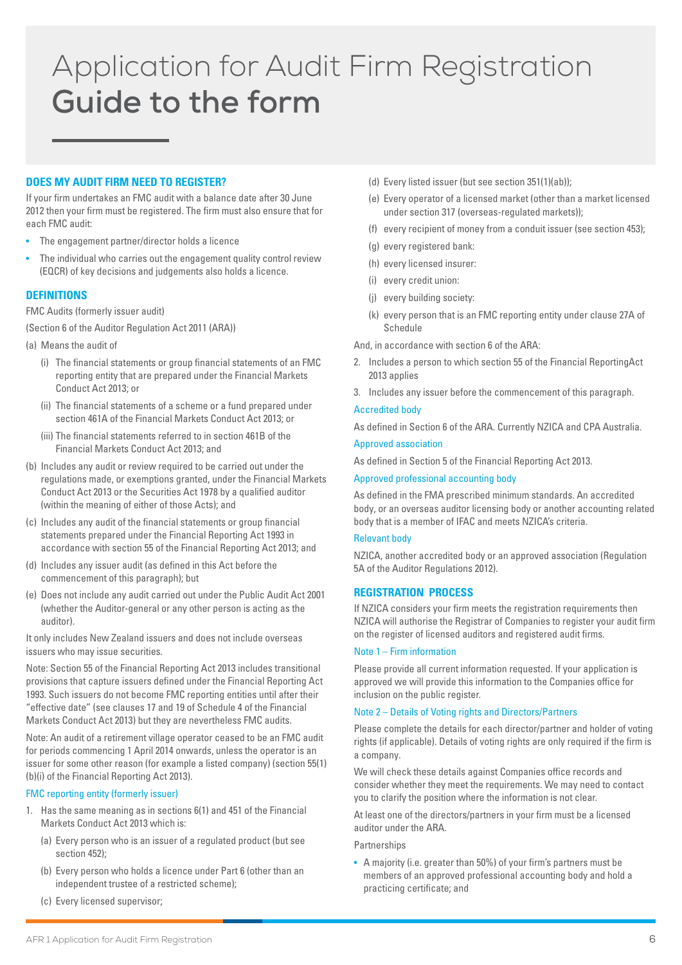## Application for Audit Firm Registration **Guide to the form**

## **DOES MY AUDIT FIRM NEED TO REGISTER?**

If your firm undertakes an FMC audit with a balance date after 30 June 2012 then your firm must be registered. The firm must also ensure that for each FMC audit:

- The engagement partner/director holds a licence
- The individual who carries out the engagement quality control review (EQCR) of key decisions and judgements also holds a licence.

## **DEFINITIONS**

FMC Audits (formerly issuer audit)

(Section 6 of the Auditor Regulation Act 2011 (ARA))

- (a) Means the audit of
	- (i) The financial statements or group financial statements of an FMC reporting entity that are prepared under the Financial Markets Conduct Act 2013; or
	- (ii) The financial statements of a scheme or a fund prepared under section 461A of the Financial Markets Conduct Act 2013; or
	- (iii) The financial statements referred to in section 461B of the Financial Markets Conduct Act 2013; and
- (b) Includes any audit or review required to be carried out under the regulations made, or exemptions granted, under the Financial Markets Conduct Act 2013 or the Securities Act 1978 by a qualified auditor (within the meaning of either of those Acts); and
- (c) Includes any audit of the financial statements or group financial statements prepared under the Financial Reporting Act 1993 in accordance with section 55 of the Financial Reporting Act 2013; and
- (d) Includes any issuer audit (as defined in this Act before the commencement of this paragraph); but
- (e) Does not include any audit carried out under the Public Audit Act 2001 (whether the Auditor-general or any other person is acting as the auditor).

It only includes New Zealand issuers and does not include overseas issuers who may issue securities.

Note: Section 55 of the Financial Reporting Act 2013 includes transitional provisions that capture issuers defined under the Financial Reporting Act 1993. Such issuers do not become FMC reporting entities until after their "effective date" (see clauses 17 and 19 of Schedule 4 of the Financial Markets Conduct Act 2013) but they are nevertheless FMC audits.

Note: An audit of a retirement village operator ceased to be an FMC audit for periods commencing 1 April 2014 onwards, unless the operator is an issuer for some other reason (for example a listed company) (section 55(1) (b)(i) of the Financial Reporting Act 2013).

## FMC reporting entity (formerly issuer)

- 1. Has the same meaning as in sections 6(1) and 451 of the Financial Markets Conduct Act 2013 which is:
	- (a) Every person who is an issuer of a regulated product (but see section 452):
	- (b) Every person who holds a licence under Part 6 (other than an independent trustee of a restricted scheme);
	- (c) Every licensed supervisor;
- (d) Every listed issuer (but see section 351(1)(ab));
- (e) Every operator of a licensed market (other than a market licensed under section 317 (overseas-regulated markets));
- (f) every recipient of money from a conduit issuer (see section 453);
- (g) every registered bank:
- (h) every licensed insurer:
- (i) every credit union:
- (j) every building society:
- (k) every person that is an FMC reporting entity under clause 27A of Schedule

And, in accordance with section 6 of the ARA:

- 2. Includes a person to which section 55 of the Financial ReportingAct 2013 applies
- 3. Includes any issuer before the commencement of this paragraph.

## Accredited body

As defined in Section 6 of the ARA. Currently NZICA and CPA Australia.

## Approved association

As defined in Section 5 of the Financial Reporting Act 2013.

## Approved professional accounting body

As defined in the FMA prescribed minimum standards. An accredited body, or an overseas auditor licensing body or another accounting related body that is a member of IFAC and meets NZICA's criteria.

### Relevant body

NZICA, another accredited body or an approved association (Regulation 5A of the Auditor Regulations 2012).

## **REGISTRATION PROCESS**

If NZICA considers your firm meets the registration requirements then NZICA will authorise the Registrar of Companies to register your audit firm on the register of licensed auditors and registered audit firms.

#### Note 1 – Firm information

Please provide all current information requested. If your application is approved we will provide this information to the Companies office for inclusion on the public register.

### Note 2 – Details of Voting rights and Directors/Partners

Please complete the details for each director/partner and holder of voting rights (if applicable). Details of voting rights are only required if the firm is a company.

We will check these details against Companies office records and consider whether they meet the requirements. We may need to contact you to clarify the position where the information is not clear.

At least one of the directors/partners in your firm must be a licensed auditor under the ARA.

Partnerships

• A majority (i.e. greater than 50%) of your firm's partners must be members of an approved professional accounting body and hold a practicing certificate; and